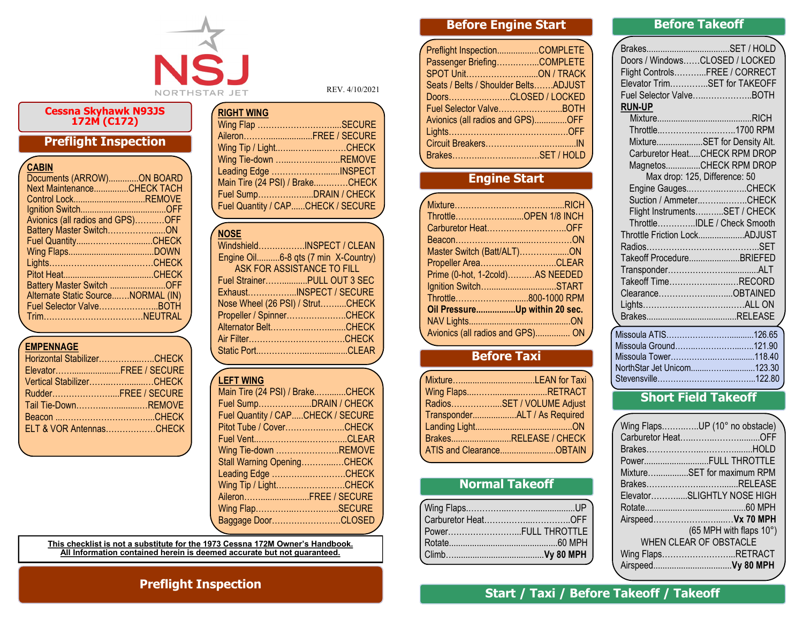

#### **Cessna Skyhawk N93JS 172M (C172)**

## **Preflight Inspection**

| CABIN                              |  |
|------------------------------------|--|
| Documents (ARROW)ON BOARD          |  |
| Next MaintenanceCHECK TACH         |  |
| Control LockREMOVE                 |  |
|                                    |  |
| Avionics (all radios and GPS)OFF   |  |
| Battery Master SwitchON            |  |
|                                    |  |
|                                    |  |
|                                    |  |
|                                    |  |
| Battery Master Switch OFF          |  |
| Alternate Static SourceNORMAL (IN) |  |
| Fuel Selector ValveBOTH            |  |
|                                    |  |
|                                    |  |

#### **EMPENNAGE**

| Horizontal StabilizerCHECK |  |
|----------------------------|--|
| ElevatorFREE / SECURE      |  |
| Vertical StabilizerCHECK   |  |
| RudderFREE / SECURE        |  |
| Tail Tie-DownREMOVE        |  |
|                            |  |
| ELT & VOR AntennasCHECK    |  |
|                            |  |

REV. 4/10/2021

| <b>RIGHT WING</b>                 |  |
|-----------------------------------|--|
| Wing Flap SECURE                  |  |
| AileronFREE / SECURE              |  |
| Wing Tip / LightCHECK             |  |
| Wing Tie-down REMOVE              |  |
| Leading Edge INSPECT              |  |
| Main Tire (24 PSI) / BrakeCHECK   |  |
| Fuel SumpDRAIN / CHECK            |  |
| Fuel Quantity / CAPCHECK / SECURE |  |

#### **NOSE**

| WindshieldINSPECT / CLEAN           |
|-------------------------------------|
| Engine Oil6-8 qts (7 min X-Country) |
| ASK FOR ASSISTANCE TO FILL          |
| Fuel StrainerPULL OUT 3 SEC         |
| ExhaustINSPECT / SECURE             |
| Nose Wheel (26 PSI) / StrutCHECK    |
| Propeller / SpinnerCHECK            |
| Alternator BeltCHECK                |
|                                     |
|                                     |

#### **LEFT WING**

| Main Tire (24 PSI) / BrakeCHECK   |  |
|-----------------------------------|--|
| Fuel SumpDRAIN / CHECK            |  |
| Fuel Quantity / CAPCHECK / SECURE |  |
| Pitot Tube / CoverCHECK           |  |
|                                   |  |
| Wing Tie-down REMOVE              |  |
| Stall Warning OpeningCHECK        |  |
| Leading Edge CHECK                |  |
| Wing Tip / LightCHECK             |  |
| AileronFREE / SECURE              |  |
| Wing FlapSECURE                   |  |
| Baggage DoorCLOSED                |  |
|                                   |  |

**This checklist is not a substitute for the 1973 Cessna 172M Owner's Handbook. All Information contained herein is deemed accurate but not guaranteed.**

# **Before Engine Start**

| Preflight InspectionCOMPLETE         |  |
|--------------------------------------|--|
| Passenger BriefingCOMPLETE           |  |
|                                      |  |
| Seats / Belts / Shoulder BeltsADJUST |  |
| DoorsCLOSED / LOCKED                 |  |
| Fuel Selector ValveBOTH              |  |
| Avionics (all radios and GPS)OFF     |  |
|                                      |  |
|                                      |  |
| BrakesSET / HOLD                     |  |
|                                      |  |

## **Engine Start**

| ThrottleOPEN 1/8 INCH            |  |
|----------------------------------|--|
| Carburetor HeatOFF               |  |
|                                  |  |
| Master Switch (Batt/ALT)ON       |  |
| Propeller AreaCLEAR              |  |
| Prime (0-hot, 1-2cold)AS NEEDED  |  |
| Ignition SwitchSTART             |  |
| Throttle800-1000 RPM             |  |
| Oil PressureUp within 20 sec.    |  |
|                                  |  |
| Avionics (all radios and GPS) ON |  |
|                                  |  |

### **Before Taxi**

| Wing FlapsRETRACT            |
|------------------------------|
| RadiosSET / VOLUME Adjust    |
| TransponderALT / As Required |
|                              |
| BrakesRELEASE / CHECK        |
|                              |
|                              |

## **Normal Takeoff**

| PowerFULL THROTTLE |
|--------------------|
|                    |
|                    |
|                    |

### **Before Takeoff**

| Doors / WindowsCLOSED / LOCKED |                               |
|--------------------------------|-------------------------------|
| Flight ControlsFREE / CORRECT  |                               |
| Elevator TrimSET for TAKEOFF   |                               |
| Fuel Selector ValveBOTH        |                               |
| <b>RUN-UP</b>                  |                               |
|                                |                               |
|                                | Throttle1700 RPM              |
|                                | MixtureSET for Density Alt.   |
|                                | Carburetor HeatCHECK RPM DROP |
|                                | MagnetosCHECK RPM DROP        |
| Max drop: 125, Difference: 50  |                               |
|                                | Engine GaugesCHECK            |
|                                | Suction / AmmeterCHECK        |
|                                | Flight InstrumentsSET / CHECK |
|                                | ThrottleIDLE / Check Smooth   |
| Throttle Friction LockADJUST   |                               |
|                                |                               |
| Takeoff ProcedureBRIEFED       |                               |
|                                |                               |
| Takeoff TimeRECORD             |                               |
| ClearanceOBTAINED              |                               |
|                                |                               |
|                                | Ľ                             |
|                                |                               |
| Missoula Ground121.90          |                               |
|                                |                               |
| NorthStar Jet Unicom123.30     |                               |

## **Short Field Takeoff** Stevensville………………………..……...122.80

| Wing FlapsUP (10° no obstacle) |  |
|--------------------------------|--|
|                                |  |
|                                |  |
| PowerFULL THROTTLE             |  |
| MixtureSET for maximum RPM     |  |
|                                |  |
| ElevatorSLIGHTLY NOSE HIGH     |  |
|                                |  |
| Airspeed Vx 70 MPH             |  |
| (65 MPH with flaps 10°)        |  |
| <b>WHEN CLEAR OF OBSTACLE</b>  |  |
| Wing FlapsRETRACT              |  |
|                                |  |
|                                |  |

### **Preflight Inspection**

## **Start / Taxi / Before Takeoff / Takeoff**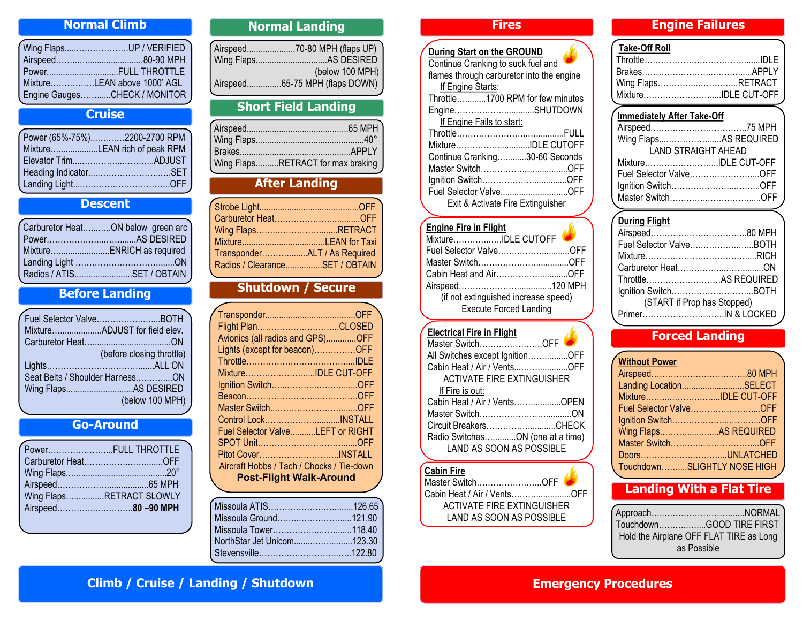### **Normal Climb**

| Wing FlapsUP / VERIFIED      |
|------------------------------|
|                              |
|                              |
| MixtureLEAN above 1000' AGL  |
| Engine GaugesCHECK / MONITOR |
|                              |

## **Cruise**

| Power (65%-75%)2200-2700 RPM |
|------------------------------|
| MixtureLEAN rich of peak RPM |
|                              |
|                              |
|                              |
|                              |

## **Descent**

| Carburetor HeatON below green arc |
|-----------------------------------|
|                                   |
|                                   |
|                                   |
| Radios / ATISSET / OBTAIN         |
|                                   |

## **Before Landing**

| Fuel Selector ValveBOTH         |                 |
|---------------------------------|-----------------|
| MixtureADJUST for field elev.   |                 |
|                                 |                 |
| (before closing throttle)       |                 |
|                                 |                 |
| Seat Belts / Shoulder HarnessON |                 |
| Wing FlapsAS DESIRED            |                 |
|                                 | (below 100 MPH) |
|                                 |                 |

### **Go-Around**

| PowerFULL THROTTLE       |
|--------------------------|
|                          |
|                          |
|                          |
| Wing FlapsRETRACT SLOWLY |
|                          |
|                          |

### **Normal Landing**

| (below 100 MPH)                |
|--------------------------------|
| Airspeed65-75 MPH (flaps DOWN) |

## **Short Field Landing**

## **After Landing**

| Wing FlapsRETRACT            |                                |
|------------------------------|--------------------------------|
|                              |                                |
| TransponderALT / As Required |                                |
|                              | Radios / ClearanceSET / OBTAIN |

### **Shutdown / Secure**

| Flight PlanCLOSED                         |  |
|-------------------------------------------|--|
| Avionics (all radios and GPS)OFF          |  |
| Lights (except for beacon)OFF             |  |
|                                           |  |
| MixtureIDLE CUT-OFF                       |  |
|                                           |  |
|                                           |  |
|                                           |  |
|                                           |  |
| Fuel Selector ValveLEFT or RIGHT          |  |
|                                           |  |
| Pitot CoverINSTALL                        |  |
| Aircraft Hobbs / Tach / Chocks / Tie-down |  |
| <b>Post-Flight Walk-Around</b>            |  |
|                                           |  |

### **Fires**

| During Start on the GROUND                |
|-------------------------------------------|
| Continue Cranking to suck fuel and        |
| flames through carburetor into the engine |
| If Engine Starts:                         |
| Throttle1700 RPM for few minutes          |
| EngineSHUTDOWN                            |
| If Engine Fails to start:                 |
|                                           |
| MixtureIDLE CUTOFF                        |
| Continue Cranking30-60 Seconds            |
| Master SwitchOFF                          |
|                                           |
| Fuel Selector ValveOFF                    |
| Exit & Activate Fire Extinguisher         |
|                                           |

#### **Engine Fire in Flight** Mixture…………..….IDLE CUTOFF Fuel Selector Valve…….………............OFF Master Switch…………………..............OFF Cabin Heat and Air…………….............OFF Airspeed…………………...............120 MPH

(if not extinguished increase speed) Execute Forced Landing

بعكمه

#### **Electrical Fire in Flight**

| Master SwitchOFF                  |  |
|-----------------------------------|--|
| All Switches except IgnitionOFF   |  |
| Cabin Heat / Air / VentsOFF       |  |
| <b>ACTIVATE FIRE EXTINGUISHER</b> |  |
| If Fire is out:                   |  |
| Cabin Heat / Air / VentsOPEN      |  |
|                                   |  |
| Circuit BreakersCHECK             |  |
| Radio SwitchesON (one at a time)  |  |
| <b>LAND AS SOON AS POSSIBLE</b>   |  |
|                                   |  |

| Cabin Fire                  |  |
|-----------------------------|--|
| Master SwitchOFF            |  |
| Cabin Heat / Air / VentsOFF |  |
| ACTIVATE FIRE EXTINGUISHER  |  |
| LAND AS SOON AS POSSIBLE    |  |
|                             |  |

## **Engine Failures**

#### **Take-Off Roll**

| Wing FlapsRETRACT   |  |
|---------------------|--|
| MixtureIDLE CUT-OFF |  |
|                     |  |

#### **Immediately After Take-Off**

| Wing FlapsAS REQUIRED      |  |
|----------------------------|--|
| <b>LAND STRAIGHT AHEAD</b> |  |
| MixtureIDLE CUT-OFF        |  |
| Fuel Selector ValveOFF     |  |
|                            |  |
| Master SwitchOFF           |  |
|                            |  |

#### **During Flight**

| Fuel Selector ValveBOTH     |  |
|-----------------------------|--|
|                             |  |
|                             |  |
| ThrottleAS REQUIRED         |  |
|                             |  |
| (START if Prop has Stopped) |  |
| PrimerIN & LOCKED           |  |
|                             |  |

## **Forced Landing**

| <b>Without Power</b> |                             |
|----------------------|-----------------------------|
|                      |                             |
|                      | Landing LocationSELECT      |
|                      | MixtureIDLE CUT-OFF         |
|                      | Fuel Selector ValveOFF      |
|                      |                             |
|                      | Wing FlapsAS REQUIRED       |
|                      |                             |
|                      | DoorsUNLATCHED              |
|                      | TouchdownSLIGHTLY NOSE HIGH |

## **Landing With a Flat Tire**

| ApproachNORMAL                          |  |
|-----------------------------------------|--|
| TouchdownGOOD TIRE FIRST                |  |
| Hold the Airplane OFF FLAT TIRE as Long |  |
| as Possible                             |  |